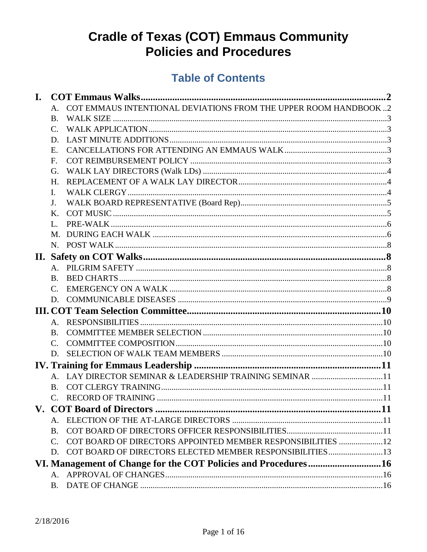# **Cradle of Texas (COT) Emmaus Community Policies and Procedures**

## **Table of Contents**

| I. |                 |                                                                 |  |  |
|----|-----------------|-----------------------------------------------------------------|--|--|
|    | A.              | COT EMMAUS INTENTIONAL DEVIATIONS FROM THE UPPER ROOM HANDBOOK2 |  |  |
|    | <b>B.</b>       |                                                                 |  |  |
|    | $\mathcal{C}$ . |                                                                 |  |  |
|    | D.              |                                                                 |  |  |
|    | Ε.              |                                                                 |  |  |
|    | F.              |                                                                 |  |  |
|    | G.              |                                                                 |  |  |
|    | H.              |                                                                 |  |  |
|    | Ι.              |                                                                 |  |  |
|    | J.              |                                                                 |  |  |
|    | Κ.              |                                                                 |  |  |
|    | L.              |                                                                 |  |  |
|    | M.              |                                                                 |  |  |
|    |                 |                                                                 |  |  |
|    |                 |                                                                 |  |  |
|    |                 |                                                                 |  |  |
|    | $\bf{B}$        |                                                                 |  |  |
|    | C.              |                                                                 |  |  |
|    | D.              |                                                                 |  |  |
|    |                 |                                                                 |  |  |
|    | $A_{-}$         |                                                                 |  |  |
|    | B.              |                                                                 |  |  |
|    | $\mathcal{C}$ . |                                                                 |  |  |
|    | D.              |                                                                 |  |  |
|    |                 |                                                                 |  |  |
|    |                 | A. LAY DIRECTOR SEMINAR & LEADERSHIP TRAINING SEMINAR 11        |  |  |
|    | B.              |                                                                 |  |  |
|    | $\mathcal{C}$ . |                                                                 |  |  |
|    |                 |                                                                 |  |  |
|    |                 |                                                                 |  |  |
|    | $\bf{B}$ .      |                                                                 |  |  |
|    | C.              | COT BOARD OF DIRECTORS APPOINTED MEMBER RESPONSIBILITIES 12     |  |  |
|    | D.              | COT BOARD OF DIRECTORS ELECTED MEMBER RESPONSIBILITIES13        |  |  |
|    |                 | VI. Management of Change for the COT Policies and Procedures16  |  |  |
|    | A.              |                                                                 |  |  |
|    | Β.              |                                                                 |  |  |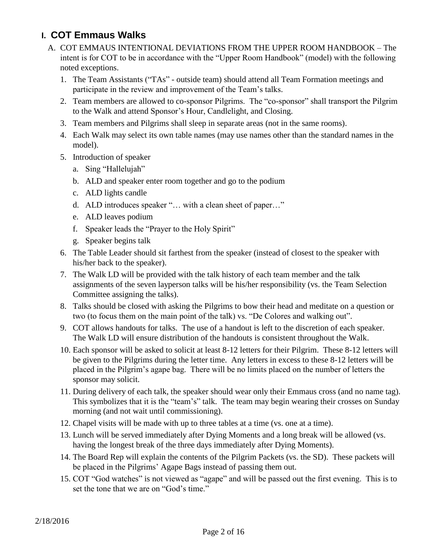### <span id="page-1-1"></span><span id="page-1-0"></span>**I. COT Emmaus Walks**

- A. COT EMMAUS INTENTIONAL DEVIATIONS FROM THE UPPER ROOM HANDBOOK The intent is for COT to be in accordance with the "Upper Room Handbook" (model) with the following noted exceptions.
	- 1. The Team Assistants ("TAs" outside team) should attend all Team Formation meetings and participate in the review and improvement of the Team's talks.
	- 2. Team members are allowed to co-sponsor Pilgrims. The "co-sponsor" shall transport the Pilgrim to the Walk and attend Sponsor's Hour, Candlelight, and Closing.
	- 3. Team members and Pilgrims shall sleep in separate areas (not in the same rooms).
	- 4. Each Walk may select its own table names (may use names other than the standard names in the model).
	- 5. Introduction of speaker
		- a. Sing "Hallelujah"
		- b. ALD and speaker enter room together and go to the podium
		- c. ALD lights candle
		- d. ALD introduces speaker "… with a clean sheet of paper…"
		- e. ALD leaves podium
		- f. Speaker leads the "Prayer to the Holy Spirit"
		- g. Speaker begins talk
	- 6. The Table Leader should sit farthest from the speaker (instead of closest to the speaker with his/her back to the speaker).
	- 7. The Walk LD will be provided with the talk history of each team member and the talk assignments of the seven layperson talks will be his/her responsibility (vs. the Team Selection Committee assigning the talks).
	- 8. Talks should be closed with asking the Pilgrims to bow their head and meditate on a question or two (to focus them on the main point of the talk) vs. "De Colores and walking out".
	- 9. COT allows handouts for talks. The use of a handout is left to the discretion of each speaker. The Walk LD will ensure distribution of the handouts is consistent throughout the Walk.
	- 10. Each sponsor will be asked to solicit at least 8-12 letters for their Pilgrim. These 8-12 letters will be given to the Pilgrims during the letter time. Any letters in excess to these 8-12 letters will be placed in the Pilgrim's agape bag. There will be no limits placed on the number of letters the sponsor may solicit.
	- 11. During delivery of each talk, the speaker should wear only their Emmaus cross (and no name tag). This symbolizes that it is the "team's" talk. The team may begin wearing their crosses on Sunday morning (and not wait until commissioning).
	- 12. Chapel visits will be made with up to three tables at a time (vs. one at a time).
	- 13. Lunch will be served immediately after Dying Moments and a long break will be allowed (vs. having the longest break of the three days immediately after Dying Moments).
	- 14. The Board Rep will explain the contents of the Pilgrim Packets (vs. the SD). These packets will be placed in the Pilgrims' Agape Bags instead of passing them out.
	- 15. COT "God watches" is not viewed as "agape" and will be passed out the first evening. This is to set the tone that we are on "God's time."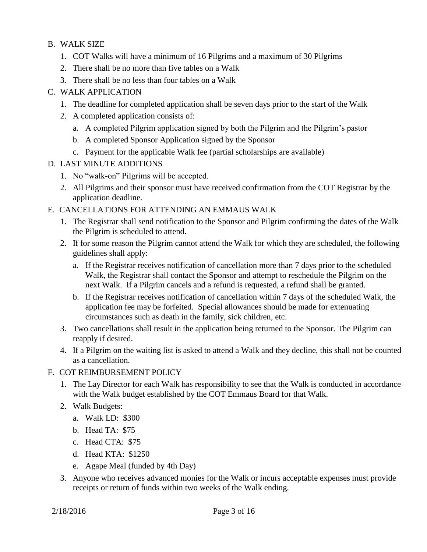### <span id="page-2-0"></span>B. WALK SIZE

- 1. COT Walks will have a minimum of 16 Pilgrims and a maximum of 30 Pilgrims
- 2. There shall be no more than five tables on a Walk
- 3. There shall be no less than four tables on a Walk

#### <span id="page-2-1"></span>C. WALK APPLICATION

- 1. The deadline for completed application shall be seven days prior to the start of the Walk
- 2. A completed application consists of:
	- a. A completed Pilgrim application signed by both the Pilgrim and the Pilgrim's pastor
	- b. A completed Sponsor Application signed by the Sponsor
	- c. Payment for the applicable Walk fee (partial scholarships are available)

#### <span id="page-2-2"></span>D. LAST MINUTE ADDITIONS

- 1. No "walk-on" Pilgrims will be accepted.
- 2. All Pilgrims and their sponsor must have received confirmation from the COT Registrar by the application deadline.
- <span id="page-2-3"></span>E. CANCELLATIONS FOR ATTENDING AN EMMAUS WALK
	- 1. The Registrar shall send notification to the Sponsor and Pilgrim confirming the dates of the Walk the Pilgrim is scheduled to attend.
	- 2. If for some reason the Pilgrim cannot attend the Walk for which they are scheduled, the following guidelines shall apply:
		- a. If the Registrar receives notification of cancellation more than 7 days prior to the scheduled Walk, the Registrar shall contact the Sponsor and attempt to reschedule the Pilgrim on the next Walk. If a Pilgrim cancels and a refund is requested, a refund shall be granted.
		- b. If the Registrar receives notification of cancellation within 7 days of the scheduled Walk, the application fee may be forfeited. Special allowances should be made for extenuating circumstances such as death in the family, sick children, etc.
	- 3. Two cancellations shall result in the application being returned to the Sponsor. The Pilgrim can reapply if desired.
	- 4. If a Pilgrim on the waiting list is asked to attend a Walk and they decline, this shall not be counted as a cancellation.
- <span id="page-2-4"></span>F. COT REIMBURSEMENT POLICY
	- 1. The Lay Director for each Walk has responsibility to see that the Walk is conducted in accordance with the Walk budget established by the COT Emmaus Board for that Walk.
	- 2. Walk Budgets:
		- a. Walk LD: \$300
		- b. Head TA: \$75
		- c. Head CTA: \$75
		- d. Head KTA: \$1250
		- e. Agape Meal (funded by 4th Day)
	- 3. Anyone who receives advanced monies for the Walk or incurs acceptable expenses must provide receipts or return of funds within two weeks of the Walk ending.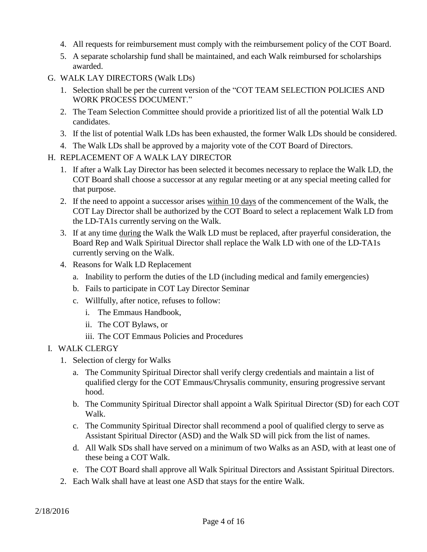- 4. All requests for reimbursement must comply with the reimbursement policy of the COT Board.
- 5. A separate scholarship fund shall be maintained, and each Walk reimbursed for scholarships awarded.
- <span id="page-3-0"></span>G. WALK LAY DIRECTORS (Walk LDs)
	- 1. Selection shall be per the current version of the "COT TEAM SELECTION POLICIES AND WORK PROCESS DOCUMENT."
	- 2. The Team Selection Committee should provide a prioritized list of all the potential Walk LD candidates.
	- 3. If the list of potential Walk LDs has been exhausted, the former Walk LDs should be considered.
	- 4. The Walk LDs shall be approved by a majority vote of the COT Board of Directors.
- <span id="page-3-1"></span>H. REPLACEMENT OF A WALK LAY DIRECTOR
	- 1. If after a Walk Lay Director has been selected it becomes necessary to replace the Walk LD, the COT Board shall choose a successor at any regular meeting or at any special meeting called for that purpose.
	- 2. If the need to appoint a successor arises within 10 days of the commencement of the Walk, the COT Lay Director shall be authorized by the COT Board to select a replacement Walk LD from the LD-TA1s currently serving on the Walk.
	- 3. If at any time during the Walk the Walk LD must be replaced, after prayerful consideration, the Board Rep and Walk Spiritual Director shall replace the Walk LD with one of the LD-TA1s currently serving on the Walk.
	- 4. Reasons for Walk LD Replacement
		- a. Inability to perform the duties of the LD (including medical and family emergencies)
		- b. Fails to participate in COT Lay Director Seminar
		- c. Willfully, after notice, refuses to follow:
			- i. The Emmaus Handbook,
			- ii. The COT Bylaws, or
			- iii. The COT Emmaus Policies and Procedures

### <span id="page-3-2"></span>I. WALK CLERGY

- 1. Selection of clergy for Walks
	- a. The Community Spiritual Director shall verify clergy credentials and maintain a list of qualified clergy for the COT Emmaus/Chrysalis community, ensuring progressive servant hood.
	- b. The Community Spiritual Director shall appoint a Walk Spiritual Director (SD) for each COT Walk.
	- c. The Community Spiritual Director shall recommend a pool of qualified clergy to serve as Assistant Spiritual Director (ASD) and the Walk SD will pick from the list of names.
	- d. All Walk SDs shall have served on a minimum of two Walks as an ASD, with at least one of these being a COT Walk.
	- e. The COT Board shall approve all Walk Spiritual Directors and Assistant Spiritual Directors.
- 2. Each Walk shall have at least one ASD that stays for the entire Walk.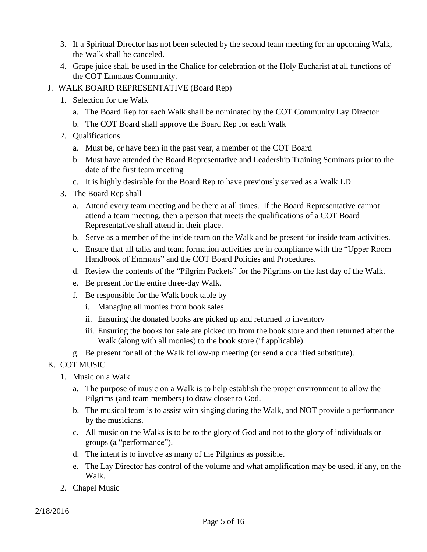- 3. If a Spiritual Director has not been selected by the second team meeting for an upcoming Walk, the Walk shall be canceled**.**
- 4. Grape juice shall be used in the Chalice for celebration of the Holy Eucharist at all functions of the COT Emmaus Community.
- <span id="page-4-0"></span>J. WALK BOARD REPRESENTATIVE (Board Rep)
	- 1. Selection for the Walk
		- a. The Board Rep for each Walk shall be nominated by the COT Community Lay Director
		- b. The COT Board shall approve the Board Rep for each Walk
	- 2. Qualifications
		- a. Must be, or have been in the past year, a member of the COT Board
		- b. Must have attended the Board Representative and Leadership Training Seminars prior to the date of the first team meeting
		- c. It is highly desirable for the Board Rep to have previously served as a Walk LD
	- 3. The Board Rep shall
		- a. Attend every team meeting and be there at all times. If the Board Representative cannot attend a team meeting, then a person that meets the qualifications of a COT Board Representative shall attend in their place.
		- b. Serve as a member of the inside team on the Walk and be present for inside team activities.
		- c. Ensure that all talks and team formation activities are in compliance with the "Upper Room Handbook of Emmaus" and the COT Board Policies and Procedures.
		- d. Review the contents of the "Pilgrim Packets" for the Pilgrims on the last day of the Walk.
		- e. Be present for the entire three-day Walk.
		- f. Be responsible for the Walk book table by
			- i. Managing all monies from book sales
			- ii. Ensuring the donated books are picked up and returned to inventory
			- iii. Ensuring the books for sale are picked up from the book store and then returned after the Walk (along with all monies) to the book store (if applicable)
		- g. Be present for all of the Walk follow-up meeting (or send a qualified substitute).

### <span id="page-4-1"></span>K. COT MUSIC

- 1. Music on a Walk
	- a. The purpose of music on a Walk is to help establish the proper environment to allow the Pilgrims (and team members) to draw closer to God.
	- b. The musical team is to assist with singing during the Walk, and NOT provide a performance by the musicians.
	- c. All music on the Walks is to be to the glory of God and not to the glory of individuals or groups (a "performance").
	- d. The intent is to involve as many of the Pilgrims as possible.
	- e. The Lay Director has control of the volume and what amplification may be used, if any, on the Walk.
- 2. Chapel Music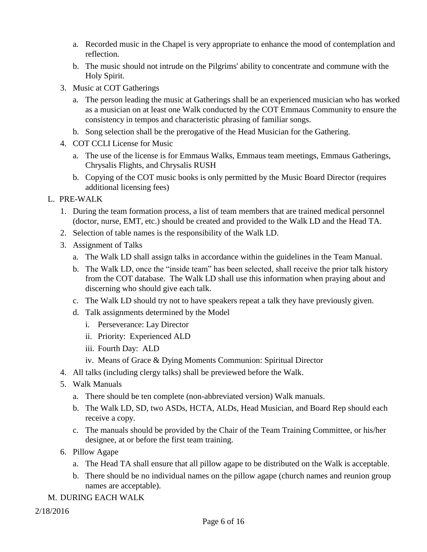- a. Recorded music in the Chapel is very appropriate to enhance the mood of contemplation and reflection.
- b. The music should not intrude on the Pilgrims' ability to concentrate and commune with the Holy Spirit.
- 3. Music at COT Gatherings
	- a. The person leading the music at Gatherings shall be an experienced musician who has worked as a musician on at least one Walk conducted by the COT Emmaus Community to ensure the consistency in tempos and characteristic phrasing of familiar songs.
	- b. Song selection shall be the prerogative of the Head Musician for the Gathering.
- 4. COT CCLI License for Music
	- a. The use of the license is for Emmaus Walks, Emmaus team meetings, Emmaus Gatherings, Chrysalis Flights, and Chrysalis RUSH
	- b. Copying of the COT music books is only permitted by the Music Board Director (requires additional licensing fees)
- <span id="page-5-0"></span>L. PRE-WALK
	- 1. During the team formation process, a list of team members that are trained medical personnel (doctor, nurse, EMT, etc.) should be created and provided to the Walk LD and the Head TA.
	- 2. Selection of table names is the responsibility of the Walk LD.
	- 3. Assignment of Talks
		- a. The Walk LD shall assign talks in accordance within the guidelines in the Team Manual.
		- b. The Walk LD, once the "inside team" has been selected, shall receive the prior talk history from the COT database. The Walk LD shall use this information when praying about and discerning who should give each talk.
		- c. The Walk LD should try not to have speakers repeat a talk they have previously given.
		- d. Talk assignments determined by the Model
			- i. Perseverance: Lay Director
			- ii. Priority: Experienced ALD
			- iii. Fourth Day: ALD
			- iv. Means of Grace & Dying Moments Communion: Spiritual Director
	- 4. All talks (including clergy talks) shall be previewed before the Walk.
	- 5. Walk Manuals
		- a. There should be ten complete (non-abbreviated version) Walk manuals.
		- b. The Walk LD, SD, two ASDs, HCTA, ALDs, Head Musician, and Board Rep should each receive a copy.
		- c. The manuals should be provided by the Chair of the Team Training Committee, or his/her designee, at or before the first team training.
	- 6. Pillow Agape
		- a. The Head TA shall ensure that all pillow agape to be distributed on the Walk is acceptable.
		- b. There should be no individual names on the pillow agape (church names and reunion group names are acceptable).
- <span id="page-5-1"></span>M. DURING EACH WALK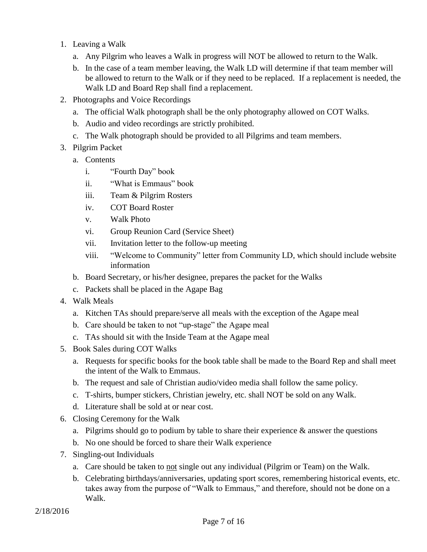- 1. Leaving a Walk
	- a. Any Pilgrim who leaves a Walk in progress will NOT be allowed to return to the Walk.
	- b. In the case of a team member leaving, the Walk LD will determine if that team member will be allowed to return to the Walk or if they need to be replaced. If a replacement is needed, the Walk LD and Board Rep shall find a replacement.
- 2. Photographs and Voice Recordings
	- a. The official Walk photograph shall be the only photography allowed on COT Walks.
	- b. Audio and video recordings are strictly prohibited.
	- c. The Walk photograph should be provided to all Pilgrims and team members.
- 3. Pilgrim Packet
	- a. Contents
		- i. "Fourth Day" book
		- ii. "What is Emmaus" book
		- iii. Team & Pilgrim Rosters
		- iv. COT Board Roster
		- v. Walk Photo
		- vi. Group Reunion Card (Service Sheet)
		- vii. Invitation letter to the follow-up meeting
		- viii. "Welcome to Community" letter from Community LD, which should include website information
	- b. Board Secretary, or his/her designee, prepares the packet for the Walks
	- c. Packets shall be placed in the Agape Bag
- 4. Walk Meals
	- a. Kitchen TAs should prepare/serve all meals with the exception of the Agape meal
	- b. Care should be taken to not "up-stage" the Agape meal
	- c. TAs should sit with the Inside Team at the Agape meal
- 5. Book Sales during COT Walks
	- a. Requests for specific books for the book table shall be made to the Board Rep and shall meet the intent of the Walk to Emmaus.
	- b. The request and sale of Christian audio/video media shall follow the same policy.
	- c. T-shirts, bumper stickers, Christian jewelry, etc. shall NOT be sold on any Walk.
	- d. Literature shall be sold at or near cost.
- 6. Closing Ceremony for the Walk
	- a. Pilgrims should go to podium by table to share their experience  $\&$  answer the questions
	- b. No one should be forced to share their Walk experience
- 7. Singling-out Individuals
	- a. Care should be taken to not single out any individual (Pilgrim or Team) on the Walk.
	- b. Celebrating birthdays/anniversaries, updating sport scores, remembering historical events, etc. takes away from the purpose of "Walk to Emmaus," and therefore, should not be done on a Walk.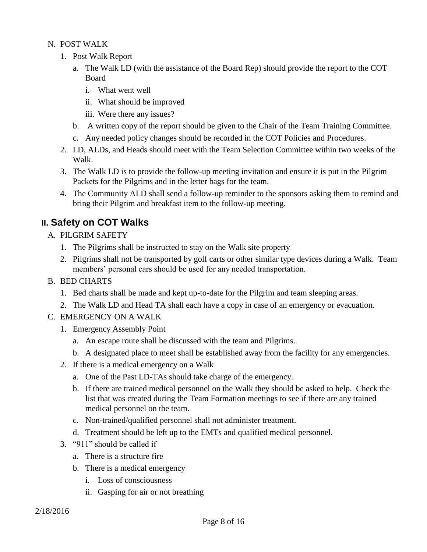<span id="page-7-0"></span>N. POST WALK

- 1. Post Walk Report
	- a. The Walk LD (with the assistance of the Board Rep) should provide the report to the COT Board
		- i. What went well
		- ii. What should be improved
		- iii. Were there any issues?
	- b. A written copy of the report should be given to the Chair of the Team Training Committee.
	- c. Any needed policy changes should be recorded in the COT Policies and Procedures.
- 2. LD, ALDs, and Heads should meet with the Team Selection Committee within two weeks of the Walk.
- 3. The Walk LD is to provide the follow-up meeting invitation and ensure it is put in the Pilgrim Packets for the Pilgrims and in the letter bags for the team.
- 4. The Community ALD shall send a follow-up reminder to the sponsors asking them to remind and bring their Pilgrim and breakfast item to the follow-up meeting.

### <span id="page-7-2"></span><span id="page-7-1"></span>**II. Safety on COT Walks**

- A. PILGRIM SAFETY
	- 1. The Pilgrims shall be instructed to stay on the Walk site property
	- 2. Pilgrims shall not be transported by golf carts or other similar type devices during a Walk. Team members' personal cars should be used for any needed transportation.

#### <span id="page-7-3"></span>B. BED CHARTS

- 1. Bed charts shall be made and kept up-to-date for the Pilgrim and team sleeping areas.
- 2. The Walk LD and Head TA shall each have a copy in case of an emergency or evacuation.
- <span id="page-7-4"></span>C. EMERGENCY ON A WALK
	- 1. Emergency Assembly Point
		- a. An escape route shall be discussed with the team and Pilgrims.
		- b. A designated place to meet shall be established away from the facility for any emergencies.
	- 2. If there is a medical emergency on a Walk
		- a. One of the Past LD-TAs should take charge of the emergency.
		- b. If there are trained medical personnel on the Walk they should be asked to help. Check the list that was created during the Team Formation meetings to see if there are any trained medical personnel on the team.
		- c. Non-trained/qualified personnel shall not administer treatment.
		- d. Treatment should be left up to the EMTs and qualified medical personnel.
	- 3. "911" should be called if
		- a. There is a structure fire
		- b. There is a medical emergency
			- i. Loss of consciousness
			- ii. Gasping for air or not breathing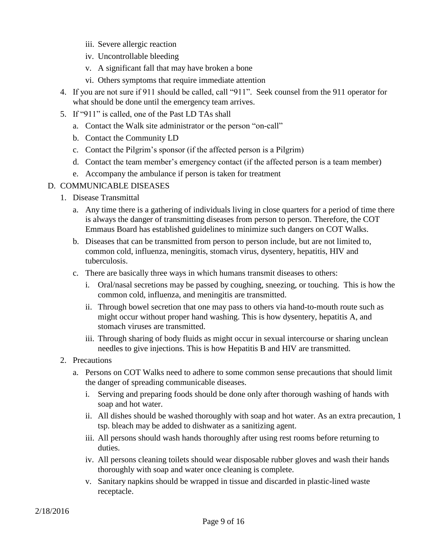- iii. Severe allergic reaction
- iv. Uncontrollable bleeding
- v. A significant fall that may have broken a bone
- vi. Others symptoms that require immediate attention
- 4. If you are not sure if 911 should be called, call "911". Seek counsel from the 911 operator for what should be done until the emergency team arrives.
- 5. If "911" is called, one of the Past LD TAs shall
	- a. Contact the Walk site administrator or the person "on-call"
	- b. Contact the Community LD
	- c. Contact the Pilgrim's sponsor (if the affected person is a Pilgrim)
	- d. Contact the team member's emergency contact (if the affected person is a team member)
	- e. Accompany the ambulance if person is taken for treatment

#### <span id="page-8-0"></span>D. COMMUNICABLE DISEASES

- 1. Disease Transmittal
	- a. Any time there is a gathering of individuals living in close quarters for a period of time there is always the danger of transmitting diseases from person to person. Therefore, the COT Emmaus Board has established guidelines to minimize such dangers on COT Walks.
	- b. Diseases that can be transmitted from person to person include, but are not limited to, common cold, influenza, meningitis, stomach virus, dysentery, hepatitis, HIV and tuberculosis.
	- c. There are basically three ways in which humans transmit diseases to others:
		- i. Oral/nasal secretions may be passed by coughing, sneezing, or touching. This is how the common cold, influenza, and meningitis are transmitted.
		- ii. Through bowel secretion that one may pass to others via hand-to-mouth route such as might occur without proper hand washing. This is how dysentery, hepatitis A, and stomach viruses are transmitted.
		- iii. Through sharing of body fluids as might occur in sexual intercourse or sharing unclean needles to give injections. This is how Hepatitis B and HIV are transmitted.
- 2. Precautions
	- a. Persons on COT Walks need to adhere to some common sense precautions that should limit the danger of spreading communicable diseases.
		- i. Serving and preparing foods should be done only after thorough washing of hands with soap and hot water.
		- ii. All dishes should be washed thoroughly with soap and hot water. As an extra precaution, 1 tsp. bleach may be added to dishwater as a sanitizing agent.
		- iii. All persons should wash hands thoroughly after using rest rooms before returning to duties.
		- iv. All persons cleaning toilets should wear disposable rubber gloves and wash their hands thoroughly with soap and water once cleaning is complete.
		- v. Sanitary napkins should be wrapped in tissue and discarded in plastic-lined waste receptacle.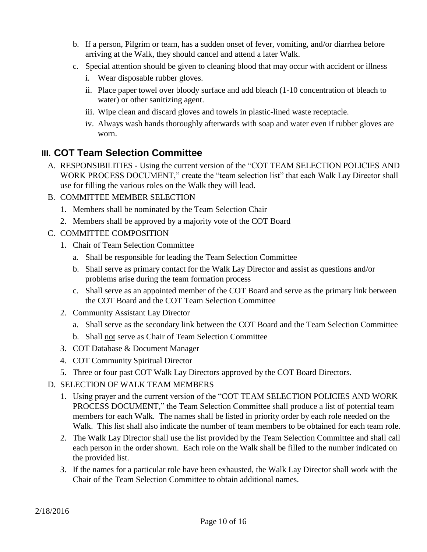- b. If a person, Pilgrim or team, has a sudden onset of fever, vomiting, and/or diarrhea before arriving at the Walk, they should cancel and attend a later Walk.
- c. Special attention should be given to cleaning blood that may occur with accident or illness
	- i. Wear disposable rubber gloves.
	- ii. Place paper towel over bloody surface and add bleach (1-10 concentration of bleach to water) or other sanitizing agent.
	- iii. Wipe clean and discard gloves and towels in plastic-lined waste receptacle.
	- iv. Always wash hands thoroughly afterwards with soap and water even if rubber gloves are worn.

### <span id="page-9-0"></span>**III. COT Team Selection Committee**

- <span id="page-9-1"></span>A. RESPONSIBILITIES - Using the current version of the "COT TEAM SELECTION POLICIES AND WORK PROCESS DOCUMENT," create the "team selection list" that each Walk Lay Director shall use for filling the various roles on the Walk they will lead.
- <span id="page-9-2"></span>B. COMMITTEE MEMBER SELECTION
	- 1. Members shall be nominated by the Team Selection Chair
	- 2. Members shall be approved by a majority vote of the COT Board
- <span id="page-9-3"></span>C. COMMITTEE COMPOSITION
	- 1. Chair of Team Selection Committee
		- a. Shall be responsible for leading the Team Selection Committee
		- b. Shall serve as primary contact for the Walk Lay Director and assist as questions and/or problems arise during the team formation process
		- c. Shall serve as an appointed member of the COT Board and serve as the primary link between the COT Board and the COT Team Selection Committee
	- 2. Community Assistant Lay Director
		- a. Shall serve as the secondary link between the COT Board and the Team Selection Committee
		- b. Shall not serve as Chair of Team Selection Committee
	- 3. COT Database & Document Manager
	- 4. COT Community Spiritual Director
	- 5. Three or four past COT Walk Lay Directors approved by the COT Board Directors.
- <span id="page-9-4"></span>D. SELECTION OF WALK TEAM MEMBERS
	- 1. Using prayer and the current version of the "COT TEAM SELECTION POLICIES AND WORK PROCESS DOCUMENT," the Team Selection Committee shall produce a list of potential team members for each Walk. The names shall be listed in priority order by each role needed on the Walk. This list shall also indicate the number of team members to be obtained for each team role.
	- 2. The Walk Lay Director shall use the list provided by the Team Selection Committee and shall call each person in the order shown. Each role on the Walk shall be filled to the number indicated on the provided list.
	- 3. If the names for a particular role have been exhausted, the Walk Lay Director shall work with the Chair of the Team Selection Committee to obtain additional names.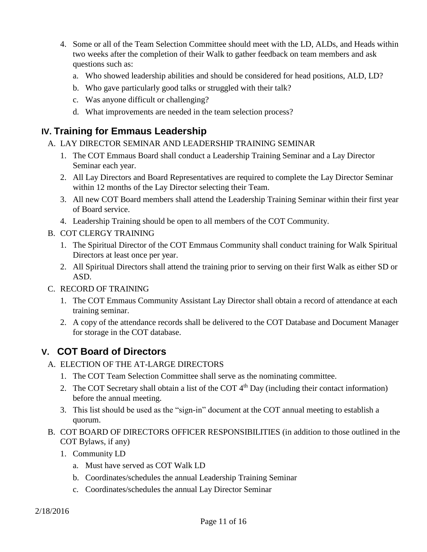- 4. Some or all of the Team Selection Committee should meet with the LD, ALDs, and Heads within two weeks after the completion of their Walk to gather feedback on team members and ask questions such as:
	- a. Who showed leadership abilities and should be considered for head positions, ALD, LD?
	- b. Who gave particularly good talks or struggled with their talk?
	- c. Was anyone difficult or challenging?
	- d. What improvements are needed in the team selection process?

### <span id="page-10-1"></span><span id="page-10-0"></span>**IV. Training for Emmaus Leadership**

- A. LAY DIRECTOR SEMINAR AND LEADERSHIP TRAINING SEMINAR
	- 1. The COT Emmaus Board shall conduct a Leadership Training Seminar and a Lay Director Seminar each year.
	- 2. All Lay Directors and Board Representatives are required to complete the Lay Director Seminar within 12 months of the Lay Director selecting their Team.
	- 3. All new COT Board members shall attend the Leadership Training Seminar within their first year of Board service.
	- 4. Leadership Training should be open to all members of the COT Community.
- <span id="page-10-2"></span>B. COT CLERGY TRAINING
	- 1. The Spiritual Director of the COT Emmaus Community shall conduct training for Walk Spiritual Directors at least once per year.
	- 2. All Spiritual Directors shall attend the training prior to serving on their first Walk as either SD or ASD.
- <span id="page-10-3"></span>C. RECORD OF TRAINING
	- 1. The COT Emmaus Community Assistant Lay Director shall obtain a record of attendance at each training seminar.
	- 2. A copy of the attendance records shall be delivered to the COT Database and Document Manager for storage in the COT database.

### <span id="page-10-5"></span><span id="page-10-4"></span>**V. COT Board of Directors**

- A. ELECTION OF THE AT-LARGE DIRECTORS
	- 1. The COT Team Selection Committee shall serve as the nominating committee.
	- 2. The COT Secretary shall obtain a list of the COT  $4<sup>th</sup>$  Day (including their contact information) before the annual meeting.
	- 3. This list should be used as the "sign-in" document at the COT annual meeting to establish a quorum.
- <span id="page-10-7"></span><span id="page-10-6"></span>B. COT BOARD OF DIRECTORS OFFICER RESPONSIBILITIES (in addition to those outlined in the COT Bylaws, if any)
	- 1. Community LD
		- a. Must have served as COT Walk LD
		- b. Coordinates/schedules the annual Leadership Training Seminar
		- c. Coordinates/schedules the annual Lay Director Seminar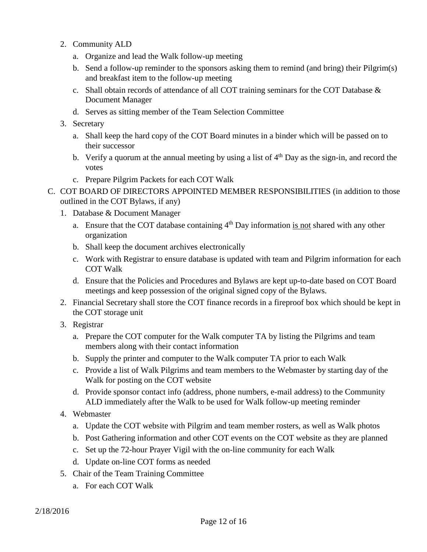- 2. Community ALD
	- a. Organize and lead the Walk follow-up meeting
	- b. Send a follow-up reminder to the sponsors asking them to remind (and bring) their Pilgrim(s) and breakfast item to the follow-up meeting
	- c. Shall obtain records of attendance of all COT training seminars for the COT Database & Document Manager
	- d. Serves as sitting member of the Team Selection Committee
- 3. Secretary
	- a. Shall keep the hard copy of the COT Board minutes in a binder which will be passed on to their successor
	- b. Verify a quorum at the annual meeting by using a list of  $4<sup>th</sup>$  Day as the sign-in, and record the votes
	- c. Prepare Pilgrim Packets for each COT Walk
- C. COT BOARD OF DIRECTORS APPOINTED MEMBER RESPONSIBILITIES (in addition to those outlined in the COT Bylaws, if any)
	- 1. Database & Document Manager
		- a. Ensure that the COT database containing  $4<sup>th</sup>$  Day information is not shared with any other organization
		- b. Shall keep the document archives electronically
		- c. Work with Registrar to ensure database is updated with team and Pilgrim information for each COT Walk
		- d. Ensure that the Policies and Procedures and Bylaws are kept up-to-date based on COT Board meetings and keep possession of the original signed copy of the Bylaws.
	- 2. Financial Secretary shall store the COT finance records in a fireproof box which should be kept in the COT storage unit
	- 3. Registrar
		- a. Prepare the COT computer for the Walk computer TA by listing the Pilgrims and team members along with their contact information
		- b. Supply the printer and computer to the Walk computer TA prior to each Walk
		- c. Provide a list of Walk Pilgrims and team members to the Webmaster by starting day of the Walk for posting on the COT website
		- d. Provide sponsor contact info (address, phone numbers, e-mail address) to the Community ALD immediately after the Walk to be used for Walk follow-up meeting reminder
	- 4. Webmaster
		- a. Update the COT website with Pilgrim and team member rosters, as well as Walk photos
		- b. Post Gathering information and other COT events on the COT website as they are planned
		- c. Set up the 72-hour Prayer Vigil with the on-line community for each Walk
		- d. Update on-line COT forms as needed
	- 5. Chair of the Team Training Committee
		- a. For each COT Walk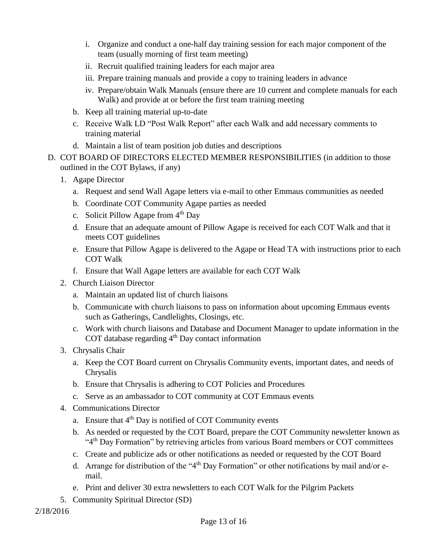- i. Organize and conduct a one-half day training session for each major component of the team (usually morning of first team meeting)
- ii. Recruit qualified training leaders for each major area
- iii. Prepare training manuals and provide a copy to training leaders in advance
- iv. Prepare/obtain Walk Manuals (ensure there are 10 current and complete manuals for each Walk) and provide at or before the first team training meeting
- b. Keep all training material up-to-date
- c. Receive Walk LD "Post Walk Report" after each Walk and add necessary comments to training material
- d. Maintain a list of team position job duties and descriptions
- D. COT BOARD OF DIRECTORS ELECTED MEMBER RESPONSIBILITIES (in addition to those outlined in the COT Bylaws, if any)
	- 1. Agape Director
		- a. Request and send Wall Agape letters via e-mail to other Emmaus communities as needed
		- b. Coordinate COT Community Agape parties as needed
		- c. Solicit Pillow Agape from  $4<sup>th</sup>$  Day
		- d. Ensure that an adequate amount of Pillow Agape is received for each COT Walk and that it meets COT guidelines
		- e. Ensure that Pillow Agape is delivered to the Agape or Head TA with instructions prior to each COT Walk
		- f. Ensure that Wall Agape letters are available for each COT Walk
	- 2. Church Liaison Director
		- a. Maintain an updated list of church liaisons
		- b. Communicate with church liaisons to pass on information about upcoming Emmaus events such as Gatherings, Candlelights, Closings, etc.
		- c. Work with church liaisons and Database and Document Manager to update information in the COT database regarding  $4<sup>th</sup>$  Day contact information
	- 3. Chrysalis Chair
		- a. Keep the COT Board current on Chrysalis Community events, important dates, and needs of Chrysalis
		- b. Ensure that Chrysalis is adhering to COT Policies and Procedures
		- c. Serve as an ambassador to COT community at COT Emmaus events
	- 4. Communications Director
		- a. Ensure that 4<sup>th</sup> Day is notified of COT Community events
		- b. As needed or requested by the COT Board, prepare the COT Community newsletter known as "4<sup>th</sup> Day Formation" by retrieving articles from various Board members or COT committees
		- c. Create and publicize ads or other notifications as needed or requested by the COT Board
		- d. Arrange for distribution of the "4<sup>th</sup> Day Formation" or other notifications by mail and/or email.
		- e. Print and deliver 30 extra newsletters to each COT Walk for the Pilgrim Packets
	- 5. Community Spiritual Director (SD)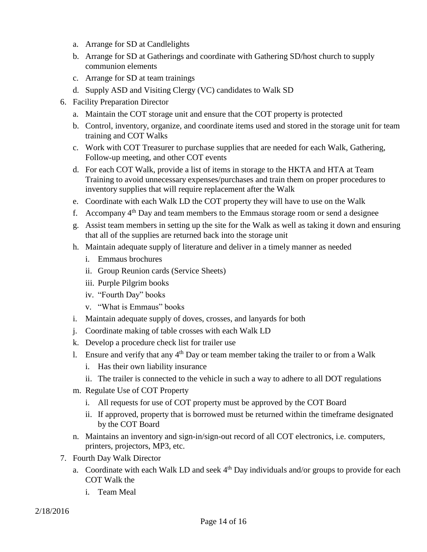- a. Arrange for SD at Candlelights
- b. Arrange for SD at Gatherings and coordinate with Gathering SD/host church to supply communion elements
- c. Arrange for SD at team trainings
- d. Supply ASD and Visiting Clergy (VC) candidates to Walk SD
- 6. Facility Preparation Director
	- a. Maintain the COT storage unit and ensure that the COT property is protected
	- b. Control, inventory, organize, and coordinate items used and stored in the storage unit for team training and COT Walks
	- c. Work with COT Treasurer to purchase supplies that are needed for each Walk, Gathering, Follow-up meeting, and other COT events
	- d. For each COT Walk, provide a list of items in storage to the HKTA and HTA at Team Training to avoid unnecessary expenses/purchases and train them on proper procedures to inventory supplies that will require replacement after the Walk
	- e. Coordinate with each Walk LD the COT property they will have to use on the Walk
	- f. Accompany  $4<sup>th</sup>$  Day and team members to the Emmaus storage room or send a designee
	- g. Assist team members in setting up the site for the Walk as well as taking it down and ensuring that all of the supplies are returned back into the storage unit
	- h. Maintain adequate supply of literature and deliver in a timely manner as needed
		- i. Emmaus brochures
		- ii. Group Reunion cards (Service Sheets)
		- iii. Purple Pilgrim books
		- iv. "Fourth Day" books
		- v. "What is Emmaus" books
	- i. Maintain adequate supply of doves, crosses, and lanyards for both
	- j. Coordinate making of table crosses with each Walk LD
	- k. Develop a procedure check list for trailer use
	- 1. Ensure and verify that any  $4<sup>th</sup>$  Day or team member taking the trailer to or from a Walk
		- i. Has their own liability insurance
		- ii. The trailer is connected to the vehicle in such a way to adhere to all DOT regulations
	- m. Regulate Use of COT Property
		- i. All requests for use of COT property must be approved by the COT Board
		- ii. If approved, property that is borrowed must be returned within the timeframe designated by the COT Board
	- n. Maintains an inventory and sign-in/sign-out record of all COT electronics, i.e. computers, printers, projectors, MP3, etc.
- 7. Fourth Day Walk Director
	- a. Coordinate with each Walk LD and seek  $4<sup>th</sup>$  Day individuals and/or groups to provide for each COT Walk the
		- i. Team Meal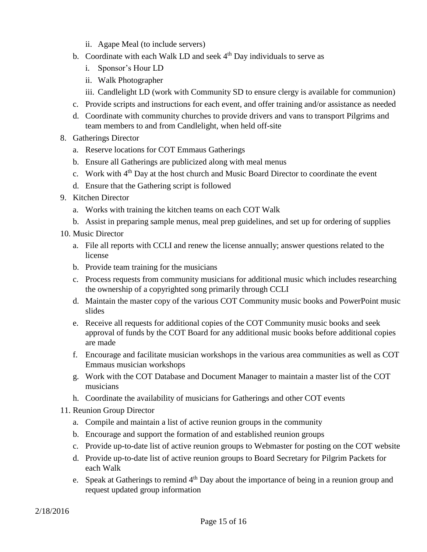- ii. Agape Meal (to include servers)
- b. Coordinate with each Walk LD and seek  $4<sup>th</sup>$  Day individuals to serve as
	- i. Sponsor's Hour LD
	- ii. Walk Photographer
	- iii. Candlelight LD (work with Community SD to ensure clergy is available for communion)
- c. Provide scripts and instructions for each event, and offer training and/or assistance as needed
- d. Coordinate with community churches to provide drivers and vans to transport Pilgrims and team members to and from Candlelight, when held off-site
- 8. Gatherings Director
	- a. Reserve locations for COT Emmaus Gatherings
	- b. Ensure all Gatherings are publicized along with meal menus
	- c. Work with 4<sup>th</sup> Day at the host church and Music Board Director to coordinate the event
	- d. Ensure that the Gathering script is followed
- 9. Kitchen Director
	- a. Works with training the kitchen teams on each COT Walk
	- b. Assist in preparing sample menus, meal prep guidelines, and set up for ordering of supplies
- 10. Music Director
	- a. File all reports with CCLI and renew the license annually; answer questions related to the license
	- b. Provide team training for the musicians
	- c. Process requests from community musicians for additional music which includes researching the ownership of a copyrighted song primarily through CCLI
	- d. Maintain the master copy of the various COT Community music books and PowerPoint music slides
	- e. Receive all requests for additional copies of the COT Community music books and seek approval of funds by the COT Board for any additional music books before additional copies are made
	- f. Encourage and facilitate musician workshops in the various area communities as well as COT Emmaus musician workshops
	- g. Work with the COT Database and Document Manager to maintain a master list of the COT musicians
	- h. Coordinate the availability of musicians for Gatherings and other COT events
- 11. Reunion Group Director
	- a. Compile and maintain a list of active reunion groups in the community
	- b. Encourage and support the formation of and established reunion groups
	- c. Provide up-to-date list of active reunion groups to Webmaster for posting on the COT website
	- d. Provide up-to-date list of active reunion groups to Board Secretary for Pilgrim Packets for each Walk
	- e. Speak at Gatherings to remind  $4<sup>th</sup>$  Day about the importance of being in a reunion group and request updated group information